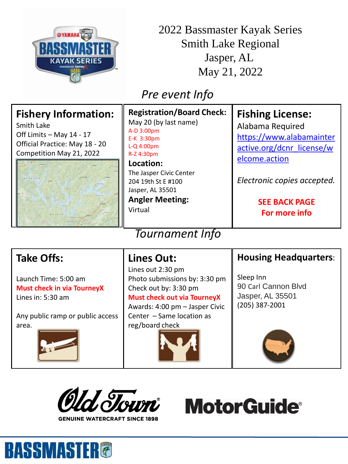

2022 Bassmaster Kayak Series Smith Lake Regional Jasper, AL May 21, 2022

## *Pre event Info*

| <b>Fishery Information:</b><br>Smith Lake<br>Off Limits - May 14 - 17<br>Official Practice: May 18 - 20<br>Competition May 21, 2022<br>$\boxed{41}$<br>$[257]$ | <b>Registration/Board Check:</b><br>May 20 (by last name)<br>A-D 3:00pm<br>E-K 3:30pm<br>$L-Q$ 4:00pm<br>R-Z 4:30pm<br>Location:<br>The Jasper Civic Center<br>204 19th St E #100<br>Jasper, AL 35501<br><b>Angler Meeting:</b><br>Virtual | <b>Fishing License:</b><br>Alabama Required<br>https://www.alabamainter<br>active.org/dcnr license/w<br>elcome.action<br>Electronic copies accepted.<br><b>SEE BACK PAGE</b><br>For more info |
|----------------------------------------------------------------------------------------------------------------------------------------------------------------|--------------------------------------------------------------------------------------------------------------------------------------------------------------------------------------------------------------------------------------------|-----------------------------------------------------------------------------------------------------------------------------------------------------------------------------------------------|
| <b>Tournament Info</b>                                                                                                                                         |                                                                                                                                                                                                                                            |                                                                                                                                                                                               |
| <b>Take Offs:</b>                                                                                                                                              | <b>Lines Out:</b>                                                                                                                                                                                                                          | <b>Housing Headquarters:</b>                                                                                                                                                                  |
| Launch Time: 5:00 am<br><b>Must check in via TourneyX</b><br>Lines in: 5:30 am                                                                                 | Lines out 2:30 pm<br>Photo submissions by: 3:30 pm<br>Check out by: 3:30 pm<br><b>Must check out via TourneyX</b><br>Awards: 4:00 pm - Jasper Civic                                                                                        | Sleep Inn<br>90 Carl Cannon Blvd<br>Jasper, AL 35501<br>(205) 387-2001                                                                                                                        |

Any public ramp or public access area.



Awards: 4:00 pm – Jasper Civic Center – Same location as reg/board check